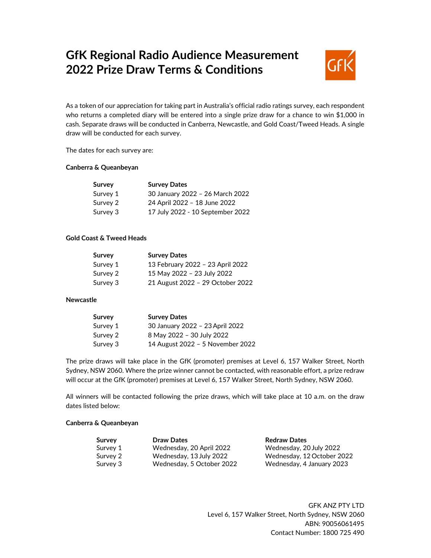# **GfK Regional Radio Audience Measurement 2022 Prize Draw Terms & Conditions**



As a token of our appreciation for taking part in Australia's official radio ratings survey, each respondent who returns a completed diary will be entered into a single prize draw for a chance to win \$1,000 in cash. Separate draws will be conducted in Canberra, Newcastle, and Gold Coast/Tweed Heads. A single draw will be conducted for each survey.

The dates for each survey are:

## **Canberra & Queanbeyan**

| Survey   | <b>Survey Dates</b>              |
|----------|----------------------------------|
| Survey 1 | 30 January 2022 - 26 March 2022  |
| Survey 2 | 24 April 2022 - 18 June 2022     |
| Survey 3 | 17 July 2022 - 10 September 2022 |

# **Gold Coast & Tweed Heads**

| Survey   | <b>Survey Dates</b>              |
|----------|----------------------------------|
| Survey 1 | 13 February 2022 - 23 April 2022 |
| Survey 2 | 15 May 2022 - 23 July 2022       |
| Survey 3 | 21 August 2022 - 29 October 2022 |

# **Newcastle**

| Survey   | <b>Survey Dates</b>              |
|----------|----------------------------------|
| Survey 1 | 30 January 2022 - 23 April 2022  |
| Survey 2 | 8 May 2022 - 30 July 2022        |
| Survey 3 | 14 August 2022 - 5 November 2022 |

The prize draws will take place in the GfK (promoter) premises at Level 6, 157 Walker Street, North Sydney, NSW 2060. Where the prize winner cannot be contacted, with reasonable effort, a prize redraw will occur at the GfK (promoter) premises at Level 6, 157 Walker Street, North Sydney, NSW 2060.

All winners will be contacted following the prize draws, which will take place at 10 a.m. on the draw dates listed below:

# **Canberra & Queanbeyan**

| Survey   | <b>Draw Dates</b>         | <b>Redraw Dates</b>        |
|----------|---------------------------|----------------------------|
| Survey 1 | Wednesday, 20 April 2022  | Wednesday, 20 July 2022    |
| Survey 2 | Wednesday, 13 July 2022   | Wednesday, 12 October 2022 |
| Survey 3 | Wednesday, 5 October 2022 | Wednesday, 4 January 2023  |

GFK ANZ PTY LTD Level 6, 157 Walker Street, North Sydney, NSW 2060 ABN: 90056061495 Contact Number: 1800 725 490